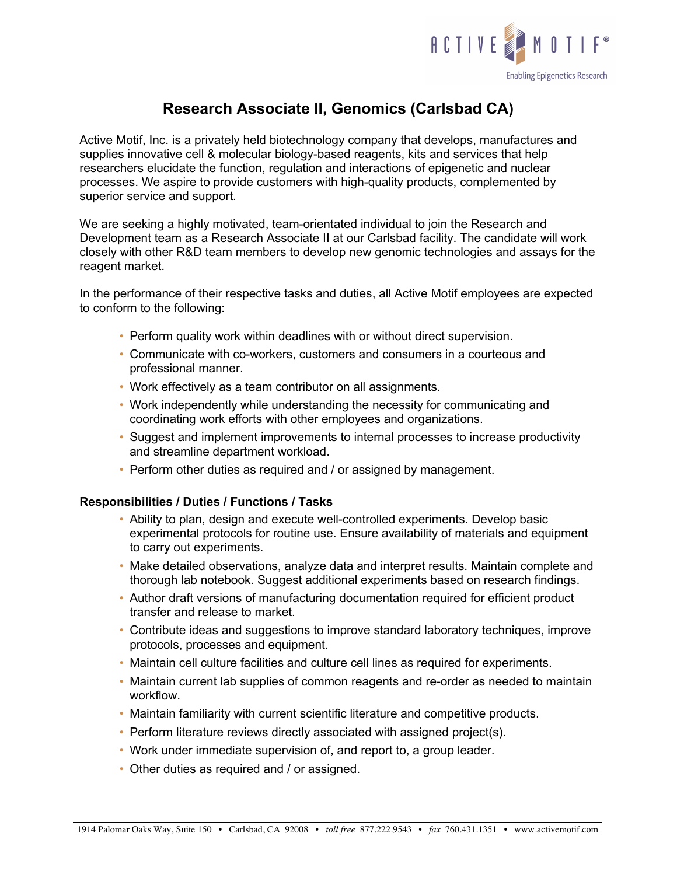

# **Research Associate II, Genomics (Carlsbad CA)**

Active Motif, Inc. is a privately held biotechnology company that develops, manufactures and supplies innovative cell & molecular biology-based reagents, kits and services that help researchers elucidate the function, regulation and interactions of epigenetic and nuclear processes. We aspire to provide customers with high-quality products, complemented by superior service and support.

We are seeking a highly motivated, team-orientated individual to join the Research and Development team as a Research Associate II at our Carlsbad facility. The candidate will work closely with other R&D team members to develop new genomic technologies and assays for the reagent market.

In the performance of their respective tasks and duties, all Active Motif employees are expected to conform to the following:

- Perform quality work within deadlines with or without direct supervision.
- Communicate with co-workers, customers and consumers in a courteous and professional manner.
- Work effectively as a team contributor on all assignments.
- Work independently while understanding the necessity for communicating and coordinating work efforts with other employees and organizations.
- Suggest and implement improvements to internal processes to increase productivity and streamline department workload.
- Perform other duties as required and / or assigned by management.

# **Responsibilities / Duties / Functions / Tasks**

- Ability to plan, design and execute well-controlled experiments. Develop basic experimental protocols for routine use. Ensure availability of materials and equipment to carry out experiments.
- Make detailed observations, analyze data and interpret results. Maintain complete and thorough lab notebook. Suggest additional experiments based on research findings.
- Author draft versions of manufacturing documentation required for efficient product transfer and release to market.
- Contribute ideas and suggestions to improve standard laboratory techniques, improve protocols, processes and equipment.
- Maintain cell culture facilities and culture cell lines as required for experiments.
- Maintain current lab supplies of common reagents and re-order as needed to maintain workflow.
- Maintain familiarity with current scientific literature and competitive products.
- Perform literature reviews directly associated with assigned project(s).
- Work under immediate supervision of, and report to, a group leader.
- Other duties as required and / or assigned.